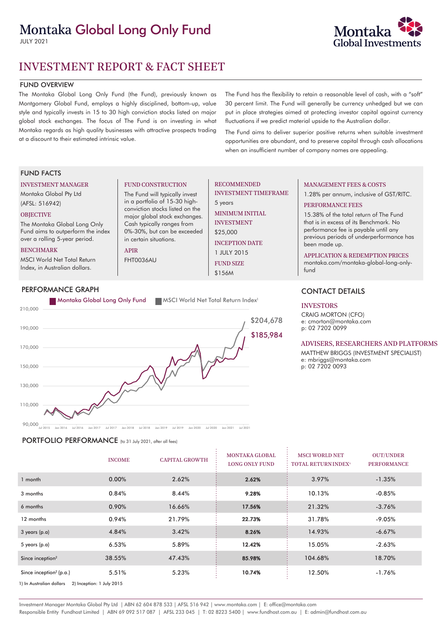# Montaka Global Long Only Fund

JULY 2021



# FUND OVERVIEW

The Montaka Global Long Only Fund (the Fund), previously known as Montgomery Global Fund, employs a highly disciplined, bottom-up, value style and typically invests in 15 to 30 high conviction stocks listed on major global stock exchanges. The focus of The Fund is on investing in what Montaka regards as high quality businesses with attractive prospects trading at a discount to their estimated intrinsic value.

The Fund has the flexibility to retain a reasonable level of cash, with a "soft" 30 percent limit. The Fund will generally be currency unhedged but we can put in place strategies aimed at protecting investor capital against currency fluctuations if we predict material upside to the Australian dollar.

The Fund aims to deliver superior positive returns when suitable investment opportunities are abundant, and to preserve capital through cash allocations when an insufficient number of company names are appealing.

# FUND FACTS

#### INVESTMENT MANAGER

Montaka Global Pty Ltd (AFSL: 516942)

## **OBJECTIVE**

The Montaka Global Long Only Fund aims to outperform the index over a rolling 5-year period.

#### BENCHMARK

MSCI World Net Total Return Index, in Australian dollars.



FUND CONSTRUCTION The Fund will typically invest in a portfolio of 15-30 highconviction stocks listed on the major global stock exchanges. Cash typically ranges from 0%-30%, but can be exceeded

in certain situations.

APIR FHT0036AU

 $90,000$ <sub> $h$ d</sub> $2015$ Jul 2015 Jan 2016 Jul 2016 Jan 2017 Jul 2017 Jan 2018 Jul 2018 Jan 2019 Jul 2019 Jan 2020 Jul 2020 Jan 2021 Jul 2021

PORTFOLIO PERFORMANCE (to 31 July 2021, after all fees)

|                                                       | <b>INCOME</b> | <b>CAPITAL GROWTH</b> | <b>MONTAKA GLOBAL</b><br><b>LONG ONLY FUND</b> | <b>MSCI WORLD NET</b><br><b>TOTAL RETURN INDEX<sup>1</sup></b> | <b>OUT/UNDER</b><br><b>PERFORMANCE</b> |  |
|-------------------------------------------------------|---------------|-----------------------|------------------------------------------------|----------------------------------------------------------------|----------------------------------------|--|
| 1 month                                               | 0.00%         | 2.62%                 | 2.62%                                          | 3.97%                                                          | $-1.35%$                               |  |
| 3 months                                              | 0.84%         | 8.44%                 | 9.28%                                          | 10.13%                                                         | $-0.85%$                               |  |
| 6 months                                              | 0.90%         | 16.66%                | 17.56%                                         | 21.32%                                                         | $-3.76%$                               |  |
| 12 months                                             | 0.94%         | 21.79%                | 22.73%                                         | 31.78%                                                         | $-9.05%$                               |  |
| $3$ years (p.a)                                       | 4.84%         | 3.42%                 | 8.26%                                          | 14.93%                                                         | $-6.67%$                               |  |
| 5 years $(p.a)$                                       | 6.53%         | 5.89%                 | 12.42%                                         | 15.05%                                                         | $-2.63%$                               |  |
| Since inception <sup>2</sup>                          | 38.55%        | 47.43%                | 85.98%                                         | 104.68%                                                        | 18.70%                                 |  |
| Since inception <sup>2</sup> (p.a.)                   | 5.51%         | 5.23%                 | 10.74%                                         | 12.50%                                                         | $-1.76%$                               |  |
| 1) In Australian dollars<br>2) Inception: 1 July 2015 |               |                       |                                                |                                                                |                                        |  |

# RECOMMENDED

INVESTMENT TIMEFRAME 5 years

MINIMUM INITIAL INVESTMENT

\$25,000 INCEPTION DATE 1 JULY 2015 FUND SIZE

\$156M

# MANAGEMENT FEES & COSTS

1.28% per annum, inclusive of GST/RITC.

# PERFORMANCE FEES

15.38% of the total return of The Fund that is in excess of its Benchmark. No performance fee is payable until any previous periods of underperformance has been made up.

#### APPLICATION & REDEMPTION PRICES

montaka.com/montaka-global-long-onlyfund

# CONTACT DETAILS

#### INVESTORS

CRAIG MORTON (CFO) e: cmorton@montaka.com p: 02 7202 0099

#### ADVISERS, RESEARCHERS AND PLATFORMS

MATTHEW BRIGGS (INVESTMENT SPECIALIST) e: mbriggs@montaka.com p: 02 7202 0093

Investment Manager Montaka Global Pty Ltd | ABN 62 604 878 533 | AFSL 516 942 | www.montaka.com | E: office@montaka.com Responsible Entity Fundhost Limited | ABN 69 092 517 087 | AFSL 233 045 | T: 02 8223 5400 | www.fundhost.com.au | E: admin@fundhost.com.au